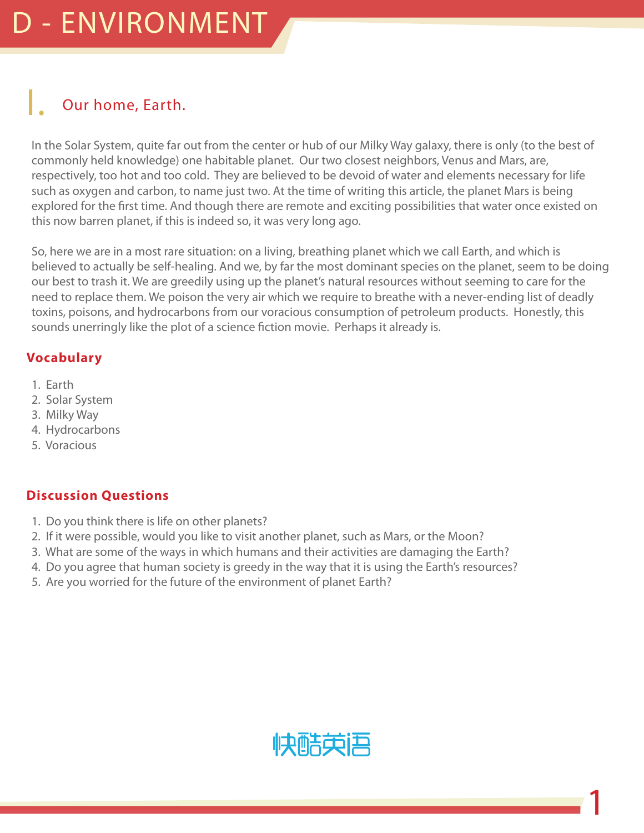### Our home, Earth.

In the Solar System, quite far out from the center or hub of our Milky Way galaxy, there is only (to the best of commonly held knowledge) one habitable planet. Our two closest neighbors, Venus and Mars, are, respectively, too hot and too cold. They are believed to be devoid of water and elements necessary for life such as oxygen and carbon, to name just two. At the time of writing this article, the planet Mars is being explored for the first time. And though there are remote and exciting possibilities that water once existed on this now barren planet, if this is indeed so, it was very long ago.

So, here we are in a most rare situation: on a living, breathing planet which we call Earth, and which is believed to actually be self-healing. And we, by far the most dominant species on the planet, seem to be doing our best to trash it. We are greedily using up the planet's natural resources without seeming to care for the need to replace them. We poison the very air which we require to breathe with a never-ending list of deadly toxins, poisons, and hydrocarbons from our voracious consumption of petroleum products. Honestly, this sounds unerringly like the plot of a science fiction movie. Perhaps it already is.

#### **Vocabulary**

- 1. Earth
- 2. Solar System
- 3. Milky Way
- 4. Hydrocarbons
- 5. Voracious

#### **Discussion Questions**

- 1. Do you think there is life on other planets?
- 2. If it were possible, would you like to visit another planet, such as Mars, or the Moon?
- 3. What are some of the ways in which humans and their activities are damaging the Earth?
- 4. Do you agree that human society is greedy in the way that it is using the Earth's resources?
- 5. Are you worried for the future of the environment of planet Earth?



1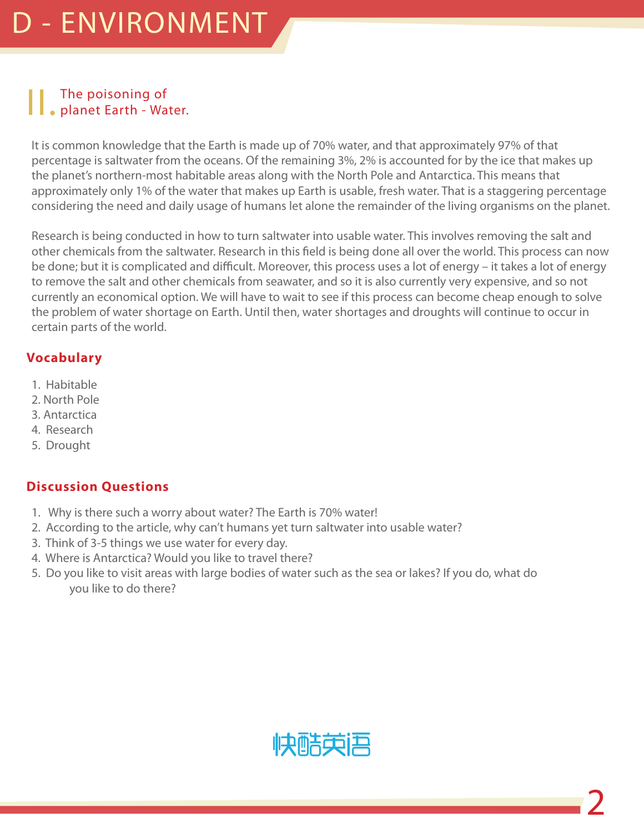# II. The poisoning of planet Earth - Water.

It is common knowledge that the Earth is made up of 70% water, and that approximately 97% of that percentage is saltwater from the oceans. Of the remaining 3%, 2% is accounted for by the ice that makes up the planet's northern-most habitable areas along with the North Pole and Antarctica. This means that approximately only 1% of the water that makes up Earth is usable, fresh water. That is a staggering percentage considering the need and daily usage of humans let alone the remainder of the living organisms on the planet.

Research is being conducted in how to turn saltwater into usable water. This involves removing the salt and other chemicals from the saltwater. Research in this field is being done all over the world. This process can now be done; but it is complicated and difficult. Moreover, this process uses a lot of energy – it takes a lot of energy to remove the salt and other chemicals from seawater, and so it is also currently very expensive, and so not currently an economical option. We will have to wait to see if this process can become cheap enough to solve the problem of water shortage on Earth. Until then, water shortages and droughts will continue to occur in certain parts of the world.

#### **Vocabulary**

- 1. Habitable
- 2. North Pole
- 3. Antarctica
- 4. Research
- 5. Drought

#### **Discussion Questions**

- 1. Why is there such a worry about water? The Earth is 70% water!
- 2. According to the article, why can't humans yet turn saltwater into usable water?
- 3. Think of 3-5 things we use water for every day.
- 4. Where is Antarctica? Would you like to travel there?
- 5. Do you like to visit areas with large bodies of water such as the sea or lakes? If you do, what do you like to do there?

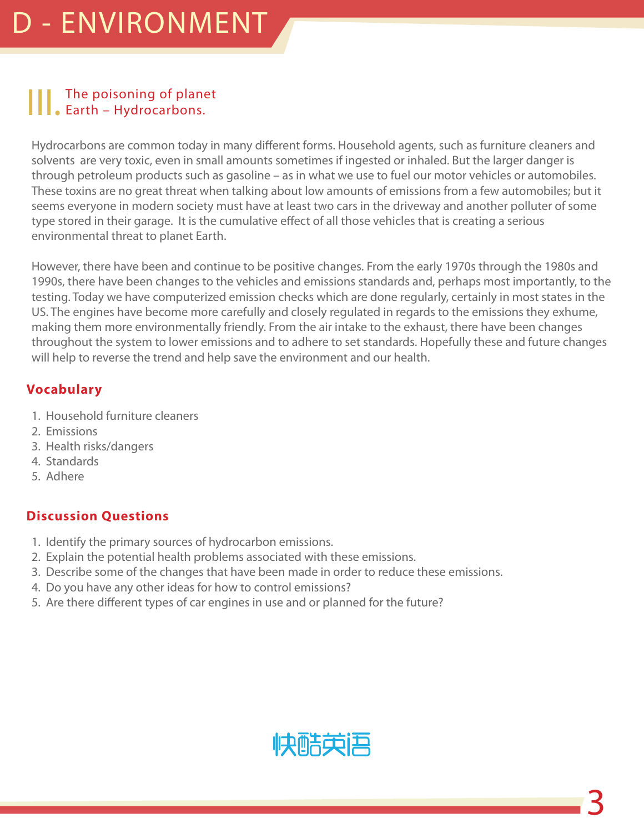# | | | The poisoning of planet<br>
Earth – Hydrocarbons.

Hydrocarbons are common today in many different forms. Household agents, such as furniture cleaners and solvents are very toxic, even in small amounts sometimes if ingested or inhaled. But the larger danger is through petroleum products such as gasoline – as in what we use to fuel our motor vehicles or automobiles. These toxins are no great threat when talking about low amounts of emissions from a few automobiles; but it seems everyone in modern society must have at least two cars in the driveway and another polluter of some type stored in their garage. It is the cumulative effect of all those vehicles that is creating a serious environmental threat to planet Earth.

However, there have been and continue to be positive changes. From the early 1970s through the 1980s and 1990s, there have been changes to the vehicles and emissions standards and, perhaps most importantly, to the testing. Today we have computerized emission checks which are done regularly, certainly in most states in the US. The engines have become more carefully and closely regulated in regards to the emissions they exhume, making them more environmentally friendly. From the air intake to the exhaust, there have been changes throughout the system to lower emissions and to adhere to set standards. Hopefully these and future changes will help to reverse the trend and help save the environment and our health.

#### **Vocabulary**

- 1. Household furniture cleaners
- 2. Emissions
- 3. Health risks/dangers
- 4. Standards
- 5. Adhere

#### **Discussion Questions**

- 1. Identify the primary sources of hydrocarbon emissions.
- 2. Explain the potential health problems associated with these emissions.
- 3. Describe some of the changes that have been made in order to reduce these emissions.
- 4. Do you have any other ideas for how to control emissions?
- 5. Are there different types of car engines in use and or planned for the future?

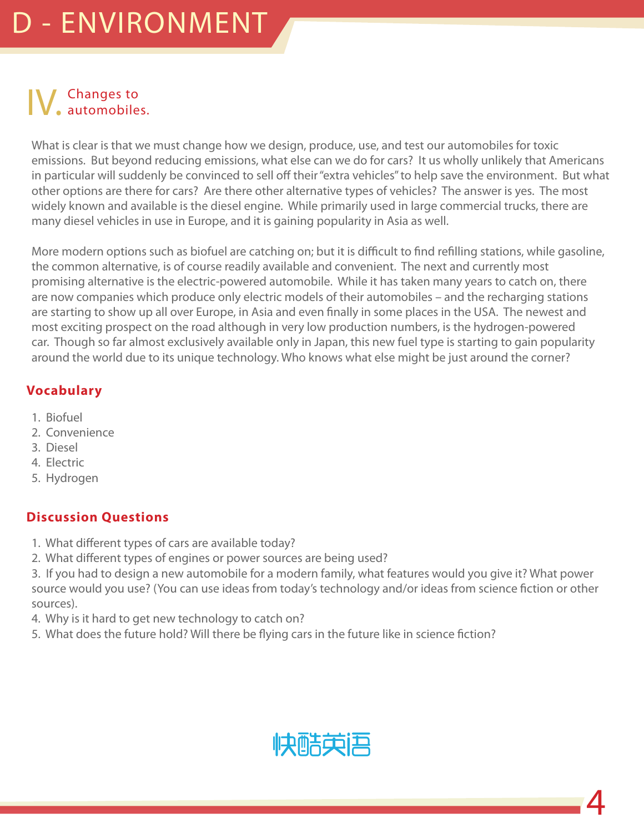# IV. Changes to automobiles.

What is clear is that we must change how we design, produce, use, and test our automobiles for toxic emissions. But beyond reducing emissions, what else can we do for cars? It us wholly unlikely that Americans in particular will suddenly be convinced to sell off their "extra vehicles" to help save the environment. But what other options are there for cars? Are there other alternative types of vehicles? The answer is yes. The most widely known and available is the diesel engine. While primarily used in large commercial trucks, there are many diesel vehicles in use in Europe, and it is gaining popularity in Asia as well.

More modern options such as biofuel are catching on; but it is difficult to find refilling stations, while gasoline, the common alternative, is of course readily available and convenient. The next and currently most promising alternative is the electric-powered automobile. While it has taken many years to catch on, there are now companies which produce only electric models of their automobiles – and the recharging stations are starting to show up all over Europe, in Asia and even finally in some places in the USA. The newest and most exciting prospect on the road although in very low production numbers, is the hydrogen-powered car. Though so far almost exclusively available only in Japan, this new fuel type is starting to gain popularity around the world due to its unique technology. Who knows what else might be just around the corner?

#### **Vocabulary**

- 1. Biofuel
- 2. Convenience
- 3. Diesel
- 4. Electric
- 5. Hydrogen

#### **Discussion Questions**

- 1. What different types of cars are available today?
- 2. What different types of engines or power sources are being used?

3. If you had to design a new automobile for a modern family, what features would you give it? What power source would you use? (You can use ideas from today's technology and/or ideas from science fiction or other sources).

- 4. Why is it hard to get new technology to catch on?
- 5. What does the future hold? Will there be flying cars in the future like in science fiction?